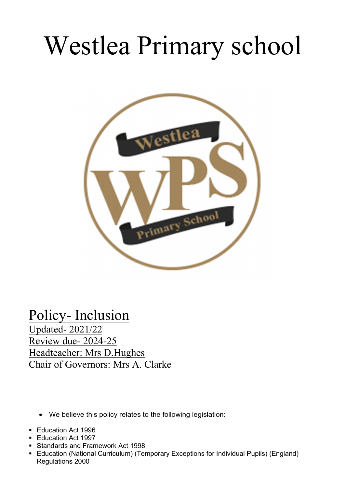# Westlea Primary school



# Policy- Inclusion

Updated- 2021/22 Review due- 2024-25 Headteacher: Mrs D.Hughes Chair of Governors: Mrs A. Clarke

- We believe this policy relates to the following legislation:
- **Education Act 1996**
- Education Act 1997
- Standards and Framework Act 1998
- Education (National Curriculum) (Temporary Exceptions for Individual Pupils) (England) Regulations 2000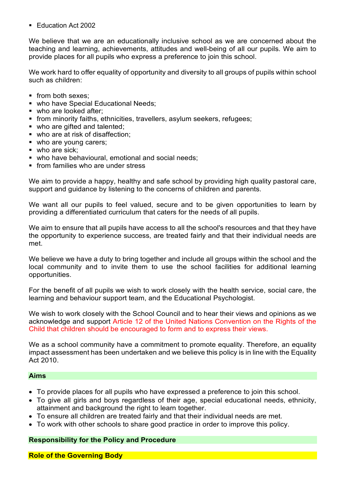**Education Act 2002** 

We believe that we are an educationally inclusive school as we are concerned about the teaching and learning, achievements, attitudes and well-being of all our pupils. We aim to provide places for all pupils who express a preference to join this school.

We work hard to offer equality of opportunity and diversity to all groups of pupils within school such as children:

- from both sexes:
- who have Special Educational Needs;
- who are looked after;
- **from minority faiths, ethnicities, travellers, asylum seekers, refugees;**
- who are gifted and talented:
- who are at risk of disaffection;
- who are young carers;
- who are sick:
- who have behavioural, emotional and social needs;
- **from families who are under stress**

We aim to provide a happy, healthy and safe school by providing high quality pastoral care, support and guidance by listening to the concerns of children and parents.

We want all our pupils to feel valued, secure and to be given opportunities to learn by providing a differentiated curriculum that caters for the needs of all pupils.

We aim to ensure that all pupils have access to all the school's resources and that they have the opportunity to experience success, are treated fairly and that their individual needs are met.

We believe we have a duty to bring together and include all groups within the school and the local community and to invite them to use the school facilities for additional learning opportunities.

For the benefit of all pupils we wish to work closely with the health service, social care, the learning and behaviour support team, and the Educational Psychologist.

We wish to work closely with the School Council and to hear their views and opinions as we acknowledge and support Article 12 of the United Nations Convention on the Rights of the Child that children should be encouraged to form and to express their views.

We as a school community have a commitment to promote equality. Therefore, an equality impact assessment has been undertaken and we believe this policy is in line with the Equality Act 2010.

#### Aims

- To provide places for all pupils who have expressed a preference to join this school.
- To give all girls and boys regardless of their age, special educational needs, ethnicity, attainment and background the right to learn together.
- To ensure all children are treated fairly and that their individual needs are met.
- To work with other schools to share good practice in order to improve this policy.

#### Responsibility for the Policy and Procedure

Role of the Governing Body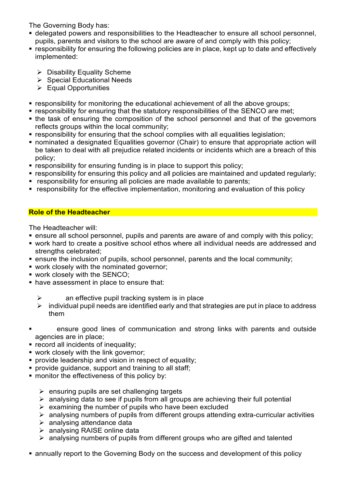The Governing Body has:

- delegated powers and responsibilities to the Headteacher to ensure all school personnel, pupils, parents and visitors to the school are aware of and comply with this policy;
- responsibility for ensuring the following policies are in place, kept up to date and effectively implemented:
	- $\triangleright$  Disability Equality Scheme
	- $\triangleright$  Special Educational Needs
	- $\triangleright$  Equal Opportunities
- responsibility for monitoring the educational achievement of all the above groups;
- **F** responsibility for ensuring that the statutory responsibilities of the SENCO are met;
- the task of ensuring the composition of the school personnel and that of the governors reflects groups within the local community;
- responsibility for ensuring that the school complies with all equalities legislation;
- nominated a designated Equalities governor (Chair) to ensure that appropriate action will be taken to deal with all prejudice related incidents or incidents which are a breach of this policy;
- **F** responsibility for ensuring funding is in place to support this policy;
- responsibility for ensuring this policy and all policies are maintained and updated regularly;
- **F** responsibility for ensuring all policies are made available to parents;
- responsibility for the effective implementation, monitoring and evaluation of this policy

# Role of the Headteacher

The Headteacher will:

- ensure all school personnel, pupils and parents are aware of and comply with this policy;
- work hard to create a positive school ethos where all individual needs are addressed and strengths celebrated:
- ensure the inclusion of pupils, school personnel, parents and the local community;
- work closely with the nominated governor;
- **work closely with the SENCO:**
- **have assessment in place to ensure that:** 
	- $\triangleright$  an effective pupil tracking system is in place
	- $\triangleright$  individual pupil needs are identified early and that strategies are put in place to address them
- ensure good lines of communication and strong links with parents and outside agencies are in place;
- **F** record all incidents of inequality;
- **work closely with the link governor:**
- **provide leadership and vision in respect of equality:**
- **provide quidance, support and training to all staff:**
- **namble 1** monitor the effectiveness of this policy by:
	- $\triangleright$  ensuring pupils are set challenging targets
	- $\triangleright$  analysing data to see if pupils from all groups are achieving their full potential
	- $\triangleright$  examining the number of pupils who have been excluded
	- $\triangleright$  analysing numbers of pupils from different groups attending extra-curricular activities
	- $\triangleright$  analysing attendance data
	- analysing RAISE online data
	- $\triangleright$  analysing numbers of pupils from different groups who are gifted and talented
- annually report to the Governing Body on the success and development of this policy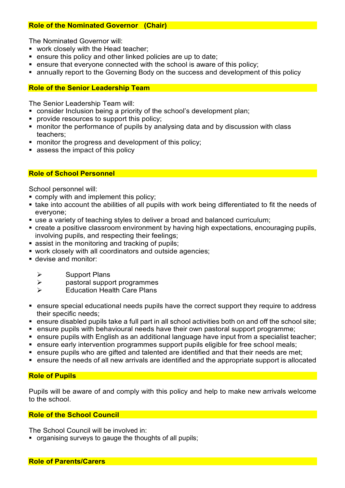# Role of the Nominated Governor (Chair)

The Nominated Governor will:

- work closely with the Head teacher:
- ensure this policy and other linked policies are up to date;
- **EXECT:** ensure that everyone connected with the school is aware of this policy;
- annually report to the Governing Body on the success and development of this policy

# Role of the Senior Leadership Team

The Senior Leadership Team will:

- consider Inclusion being a priority of the school's development plan;
- **provide resources to support this policy;**
- monitor the performance of pupils by analysing data and by discussion with class teachers;
- **number 1** monitor the progress and development of this policy;
- **assess the impact of this policy**

# Role of School Personnel

School personnel will:

- comply with and implement this policy;
- take into account the abilities of all pupils with work being differentiated to fit the needs of everyone;
- use a variety of teaching styles to deliver a broad and balanced curriculum;
- create a positive classroom environment by having high expectations, encouraging pupils, involving pupils, and respecting their feelings;
- **Example 3 is assist in the monitoring and tracking of pupils;**
- work closely with all coordinators and outside agencies;
- devise and monitor:
	- $\triangleright$  Support Plans
	- $\triangleright$  pastoral support programmes
	- $\triangleright$  Education Health Care Plans
- ensure special educational needs pupils have the correct support they require to address their specific needs;
- ensure disabled pupils take a full part in all school activities both on and off the school site;
- ensure pupils with behavioural needs have their own pastoral support programme;
- ensure pupils with English as an additional language have input from a specialist teacher;
- **EXECT** ensure early intervention programmes support pupils eligible for free school meals;
- **EXT** ensure pupils who are gifted and talented are identified and that their needs are met:
- ensure the needs of all new arrivals are identified and the appropriate support is allocated

# Role of Pupils

Pupils will be aware of and comply with this policy and help to make new arrivals welcome to the school.

#### Role of the School Council

The School Council will be involved in:

organising surveys to gauge the thoughts of all pupils;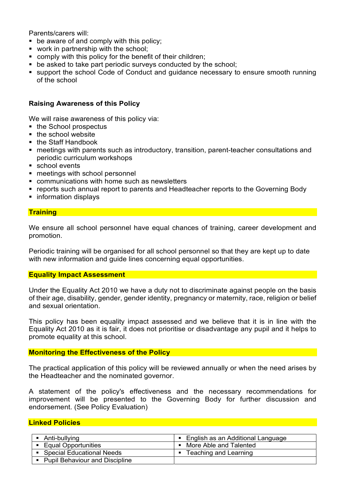Parents/carers will:

- **•** be aware of and comply with this policy;
- **work in partnership with the school:**
- comply with this policy for the benefit of their children;
- **•** be asked to take part periodic surveys conducted by the school;
- support the school Code of Conduct and guidance necessary to ensure smooth running of the school

## Raising Awareness of this Policy

We will raise awareness of this policy via:

- the School prospectus
- $\blacksquare$  the school website
- the Staff Handbook
- meetings with parents such as introductory, transition, parent-teacher consultations and periodic curriculum workshops
- school events
- meetings with school personnel
- **EXECOMMUNICATIONS With home such as new sletters**
- reports such annual report to parents and Headteacher reports to the Governing Body
- **·** information displays

### **Training**

We ensure all school personnel have equal chances of training, career development and promotion.

Periodic training will be organised for all school personnel so that they are kept up to date with new information and guide lines concerning equal opportunities.

#### Equality Impact Assessment

Under the Equality Act 2010 we have a duty not to discriminate against people on the basis of their age, disability, gender, gender identity, pregnancy or maternity, race, religion or belief and sexual orientation.

This policy has been equality impact assessed and we believe that it is in line with the Equality Act 2010 as it is fair, it does not prioritise or disadvantage any pupil and it helps to promote equality at this school.

#### Monitoring the Effectiveness of the Policy

The practical application of this policy will be reviewed annually or when the need arises by the Headteacher and the nominated governor.

A statement of the policy's effectiveness and the necessary recommendations for improvement will be presented to the Governing Body for further discussion and endorsement. (See Policy Evaluation)

#### Linked Policies

| Anti-bullying                         | English as an Additional Language |
|---------------------------------------|-----------------------------------|
| Equal Opportunities                   | More Able and Talented            |
| <b>Special Educational Needs</b>      | Teaching and Learning             |
| <b>Pupil Behaviour and Discipline</b> |                                   |